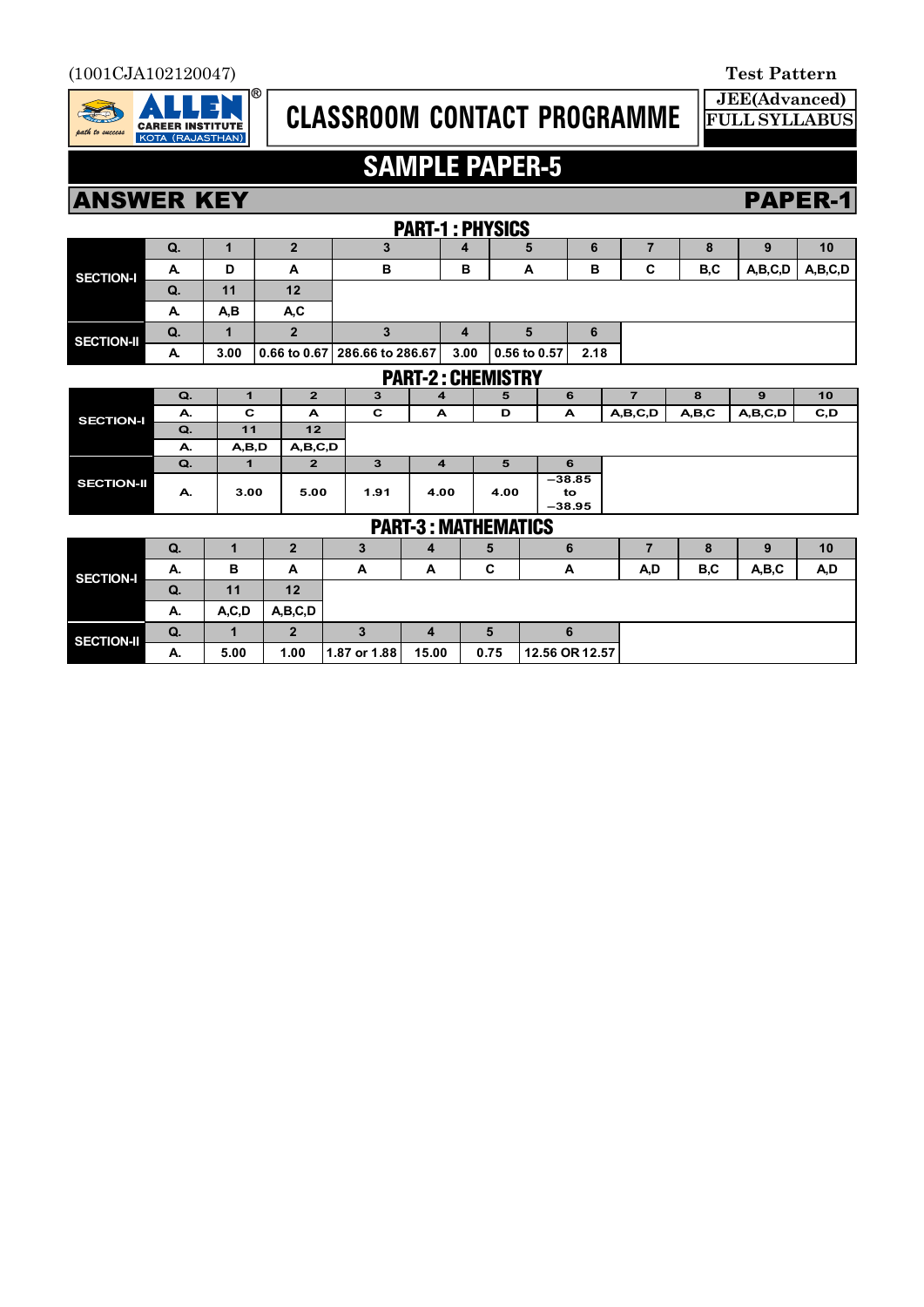

# **CLASSROOM CONTACT PROGRAMME**

**JEE(Advanced) FULL SYLLABUS**

## **SAMPLE PAPER-5**

### **ANSWER KEY PAPER-1**

| PAKI-I: PHIJILJ  |    |      |      |                               |      |                |      |  |     |         |         |
|------------------|----|------|------|-------------------------------|------|----------------|------|--|-----|---------|---------|
| <b>SECTION-I</b> | Q. |      |      |                               |      |                | 6    |  |     |         | 10      |
|                  | А. | D    | -    | в                             | в    | A              | в    |  | B,C | A,B,C,D | A,B,C,D |
|                  | Q. | 11   | 12   |                               |      |                |      |  |     |         |         |
|                  | А. | A,B  | A, C |                               |      |                |      |  |     |         |         |
| SECTION-II       | Q. |      |      |                               |      |                | 6    |  |     |         |         |
|                  | А. | 3.00 |      | 0.66 to 0.67 286.66 to 286.67 | 3.00 | $0.56$ to 0.57 | 2.18 |  |     |         |         |

#### PART-3 : MATHEMATICS  $\frac{PART-2:CHEMISTRY}{3}$ **Q. 1 2 3 4 5 6 7 8 9 10 A. C A C A D A A,B,C,D A,B,C A,B,C,D C,D Q. 11 12 A. A,B,D A,B,C,D Q.** | 1 | 2 | 3 | 4 | 5 | 6 **A. 3.00 5.00 1.91 4.00 4.00 –38.85 to –38.95 SECTION-II SECTION-I**

| LAILL V LIVALIIEIVALIVY |    |         |         |              |       |      |                |     |     |       |     |
|-------------------------|----|---------|---------|--------------|-------|------|----------------|-----|-----|-------|-----|
| <b>SECTION-I</b>        | Q. |         | ּי      | 3            | - 1   | 5    |                |     |     | o     | 10  |
|                         | А. | B       | A       | A            | A     | С    | A              | A,D | B,C | A,B,C | A,D |
|                         | Q. | 11      | 12      |              |       |      |                |     |     |       |     |
|                         | А. | A, C, D | A,B,C,D |              |       |      |                |     |     |       |     |
| SECTION-II              | Q. |         | っ       |              | - 1   | 5    |                |     |     |       |     |
|                         | А. | 5.00    | 1.00    | 1.87 or 1.88 | 15.00 | 0.75 | 12.56 OR 12.57 |     |     |       |     |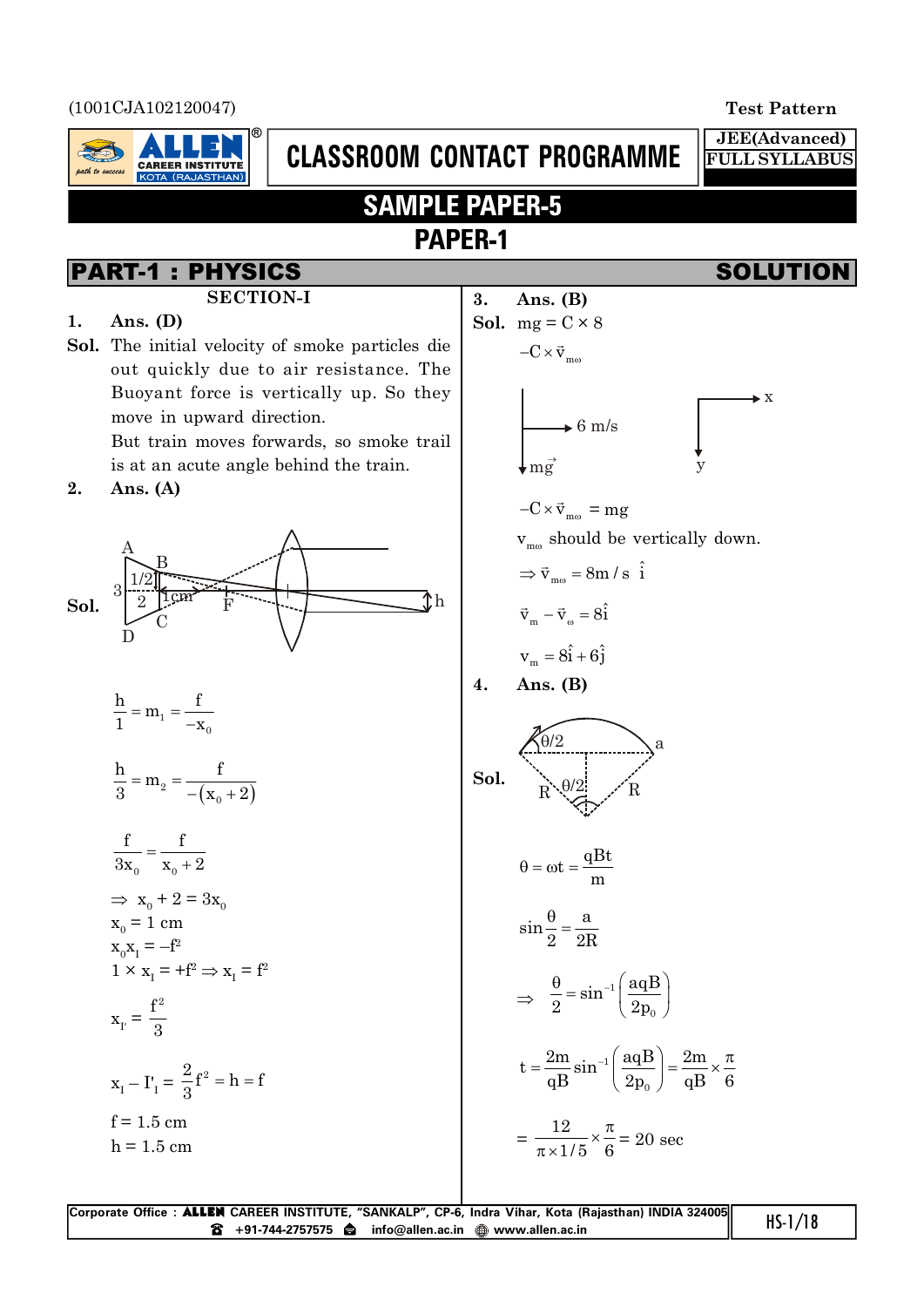(1001CJA102120047) **Test Pattern**



# **CLASSROOM CONTACT PROGRAMME**

**JEE(Advanced)**

**FULL SYLLABUS**

## **SAMPLE PAPER-5 PAPER-1**

#### **SECTION-I**

#### **1. Ans. (D)**

**Sol.** The initial velocity of smoke particles die out quickly due to air resistance. The Buoyant force is vertically up. So they move in upward direction.

But train moves forwards, so smoke trail is at an acute angle behind the train.

### **2. Ans. (A)**



$$
\frac{h}{1} = m_1 = \frac{f}{-x_0}
$$
  

$$
\frac{h}{3} = m_2 = \frac{f}{-(x_0 + 2)}
$$
  

$$
\frac{f}{3x_0} = \frac{f}{x_0 + 2}
$$
  

$$
\Rightarrow x_0 + 2 = 3x_0
$$
  

$$
x_0 = 1 \text{ cm}
$$
  

$$
x_0x_1 = -f^2
$$
  

$$
1 \times x_1 = +f^2 \Rightarrow x_1 = f^2
$$
  

$$
x_r = \frac{f^2}{3}
$$
  

$$
x_r - I'_1 = \frac{2}{3}f^2 = h = f
$$
  

$$
f = 1.5 \text{ cm}
$$
  

$$
h = 1.5 \text{ cm}
$$

**PART-1 : PHYSICS**  
\n**SOLUTION-I**  
\n**1.** Ans. (D)  
\n**Sol.** The initial velocity of smoke particles die out quickly due to air resistance. The  
\nBuyant force is vertically up. So they  
\nmove in upward direction.  
\nBut train moves forward, so smoke trail  
\nis at an acute angle behind the train.  
\n**2.** Ans. (A)  
\n**3.** Ans. (B)  
\n
$$
-\text{C} \times \vec{v}_{\text{max}}
$$
  
\n $\Rightarrow \vec{v}_{\text{max}}$   
\n $\Rightarrow \vec{v}_{\text{max}} = \text{arg}$   
\n $v_{\text{max}}$  should be vertically down.  
\n $\Rightarrow \vec{v}_{\text{max}} = \text{sin}/s \text{ i}$   
\n**3.** Ans. (B)  
\n $-\text{C} \times \vec{v}_{\text{max}}$   
\n $\Rightarrow \vec{v}_{\text{max}}$   
\n $\Rightarrow \vec{v}_{\text{max}} = \text{arg}$   
\n $v_{\text{max}} = \sin / s \text{ i}$   
\n $v_{\text{max}} = \sin / s \text{ i}$   
\n $v_{\text{max}} = \sin / s \text{ i}$   
\n $v_{\text{max}} = \vec{v}_{\text{max}}$   
\n $\frac{h}{2} = m_x = \frac{f}{-x_0}$   
\n $\frac{h}{3} = m_z = \frac{f}{-(x_0 + 2)}$   
\n $\frac{f}{3x_0} = \frac{f}{x_0 + 2}$   
\n $\Rightarrow \vec{v}_{\text{max}} = \text{sin} \text{ sin} \frac{\theta}{2} = \frac{a}{2R}$   
\n $\Rightarrow \vec{v}_{\text{max}} = \text{sin} \text{ i} \left(\frac{a_0B}{2p_0}\right)$   
\n $x_1 - \Gamma_1 = \frac{2}{3}f^2 = h = f$   
\n $x_1 = \frac{f^2}{3}$   
\n $x_1 - \Gamma_1 = \frac{2}{3}f^2 = h = f$   
\n $f = 1.5 \text{ cm}$   
\n $h = 1.5 \text{ cm}$   
\n $\Rightarrow \vec{v}_{\text{max}} = \frac{12}{\pi} \times \frac{\pi}{6$ 

| Corporate Office: <b>ALLEN</b> CAREER INSTITUTE, "SANKALP", CP-6, Indra Vihar, Kota (Rajasthan) INDIA 324005 | $HS-1/18$ |
|--------------------------------------------------------------------------------------------------------------|-----------|
| <b>6</b> +91-744-2757575 ● info@allen.ac.in ● www.allen.ac.in                                                |           |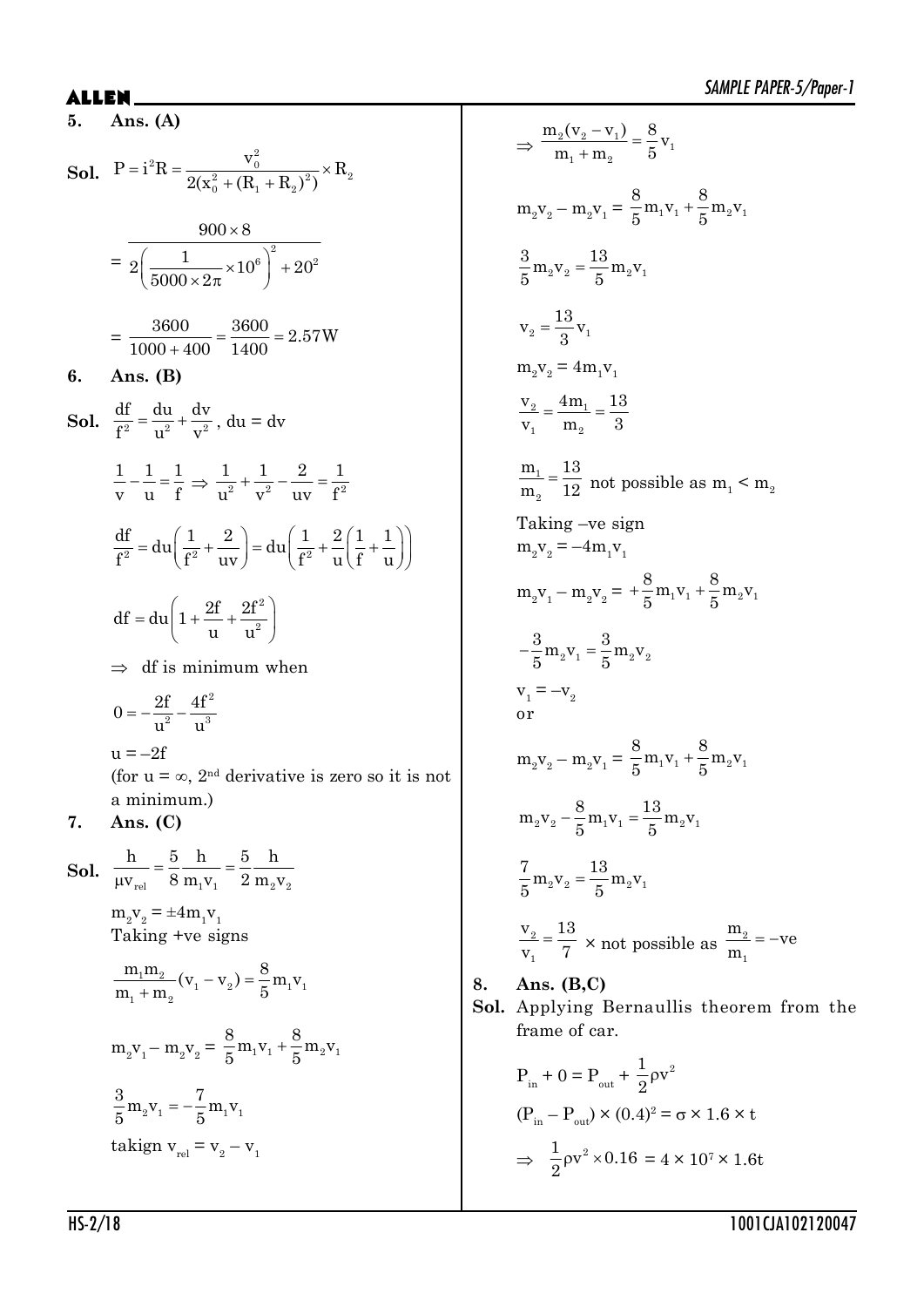**5. Ans. (A)**

**Sol.** 
$$
P = i^2 R = \frac{v_0^2}{2(x_0^2 + (R_1 + R_2)^2)} \times R_2
$$

$$
= \frac{900 \times 8}{2 \left(\frac{1}{5000 \times 2\pi} \times 10^6\right)^2 + 20^2}
$$

$$
= \frac{3600}{1000 + 400} = \frac{3600}{1400} = 2.57 W
$$

**6. Ans. (B)**

**Sol.**  $\frac{d}{f^2} = \frac{d}{r^2} + \frac{d}{r^2}$ df du dv  $\frac{du}{f^2} = \frac{du}{u^2} + \frac{dv}{v^2}$ , du = dv

$$
\frac{1}{v} - \frac{1}{u} = \frac{1}{f} \implies \frac{1}{u^2} + \frac{1}{v^2} - \frac{2}{uv} = \frac{1}{f^2}
$$
\n
$$
\frac{df}{f^2} = du \left(\frac{1}{f^2} + \frac{2}{uv}\right) = du \left(\frac{1}{f^2} + \frac{2}{u}\left(\frac{1}{f} + \frac{1}{u}\right)\right)
$$
\n
$$
df = du \left(1 + \frac{2f}{u} + \frac{2f^2}{u^2}\right)
$$
\n
$$
\implies df \text{ is minimum when}
$$
\n
$$
0 = -\frac{2f}{u^2} - \frac{4f^2}{u^3}
$$

 $u = -2f$ (for  $u = \infty$ , 2<sup>nd</sup> derivative is zero so it is not a minimum.)

### **7. Ans. (C)**

**Sol.**  $\frac{1}{\mu v_{rel}} = \frac{1}{8} \frac{1}{m_1 v_1} = \frac{1}{2} \frac{1}{m_2 v_2}$ h 5h 5h  $v_{rel} = 8 m_1 v_1 = 2 m_2 v$  $=$  $\mu$  $m_2v_2 = \pm 4m_1v_1$ Taking +ve signs  $\frac{1^{111}2}{1^{111}2}(V_1 - V_2) = \frac{0}{5} m_1 V_1$  $_{1}$  +  $\mathbf{m}_{2}$  $\frac{m_1 m_2}{(v_1 - v_2)} = \frac{8}{5} m_1 v$  $m_1 + m_2$  5  $-\mathbf{v}_{2}$ ) = - $^{+}$  $m_2v_1 - m_2v_2 = \frac{6}{5}m_1v_1 + \frac{6}{5}m_2v_1$  $\frac{8}{5}$  m<sub>1</sub>v<sub>1</sub> +  $\frac{8}{5}$  m<sub>2</sub>v  $5$ <sup> $-1$ </sup>  $1$   $-5$  $^{+}$ 3 7

$$
\frac{3}{5}m_2v_1 = -\frac{7}{5}m_1v_1
$$
  
taking  
n
$$
v_{rel} = v_2 - v_1
$$

$$
\Rightarrow \frac{m_2(v_2 - v_1)}{m_1 + m_2} = \frac{8}{5}v_1
$$
  
\n
$$
m_2v_2 - m_2v_1 = \frac{8}{5}m_1v_1 + \frac{8}{5}m_2v_1
$$
  
\n
$$
\frac{3}{5}m_2v_2 = \frac{13}{5}v_1v_1
$$
  
\n
$$
v_2 = \frac{13}{3}v_1
$$
  
\n
$$
m_2v_2 = 4m_1v_1
$$
  
\n
$$
\frac{v_2}{v_1} = \frac{4m_1}{m_2} = \frac{13}{3}
$$
  
\n
$$
\frac{m_1}{m_2} = \frac{13}{12} \text{ not possible as } m_1 < m_2
$$
  
\nTaking -ve sign  
\n
$$
m_2v_2 = -4m_1v_1
$$
  
\n
$$
m_2v_1 - m_2v_2 = +\frac{8}{5}m_1v_1 + \frac{8}{5}m_2v_1
$$
  
\n
$$
-\frac{3}{5}m_2v_1 = \frac{3}{5}m_2v_2
$$
  
\n
$$
v_1 = -v_2
$$
  
\nor  
\n
$$
m_2v_2 - m_2v_1 = \frac{8}{5}m_1v_1 + \frac{8}{5}m_2v_1
$$
  
\n
$$
m_2v_2 - \frac{8}{5}m_1v_1 = \frac{13}{5}m_2v_1
$$
  
\n
$$
\frac{v_2}{5} = \frac{13}{5}w_2v_1
$$
  
\n
$$
\frac{v_2}{v_1} = \frac{13}{7} \times \text{not possible as } \frac{m_2}{m_1} = -\text{ve}
$$
  
\nAns. (B,C)  
\nApplying Bernaulis theorem from

**Sol.** Applying Bernaullis theorem from the frame of car.

$$
P_{in} + 0 = P_{out} + \frac{1}{2}\rho v^{2}
$$
  
( $P_{in} - P_{out}$ ) × (0.4)<sup>2</sup> =  $\sigma$  × 1.6 × t  
 $\Rightarrow \frac{1}{2}\rho v^{2}$  × 0.16 = 4 × 10<sup>7</sup> × 1.6t

**8. Ans. (B,C)**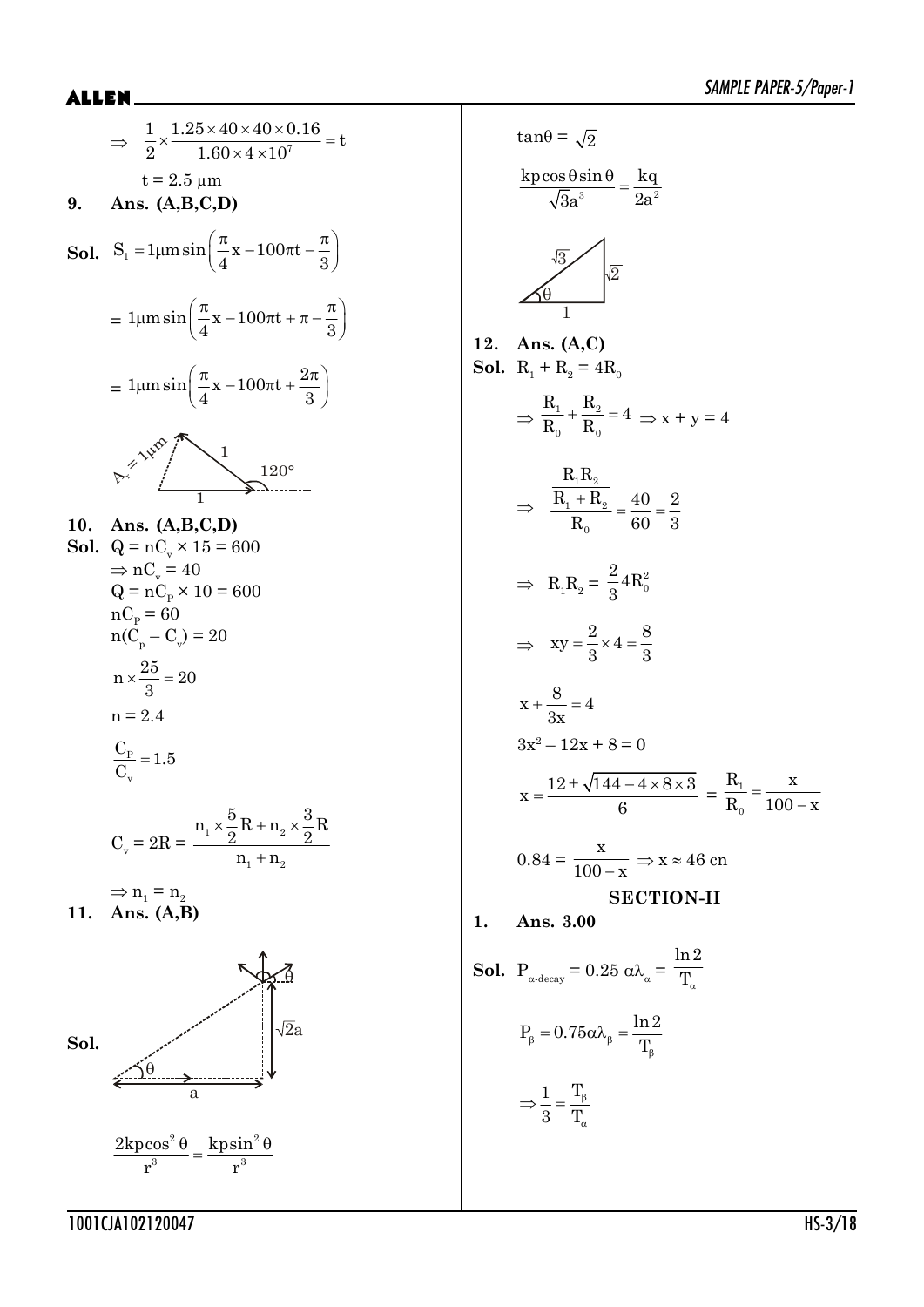$$
\Rightarrow \frac{1}{2} \times \frac{1.25 \times 40 \times 40 \times 0.16}{1.60 \times 4 \times 10^{7}} = t
$$
  
\nt = 2.5 μm  
\n9. Ans. (A,B,C,D)  
\nSol. S<sub>1</sub> = 1μmsin $\left(\frac{\pi}{4}x - 100\pi t + \frac{\pi}{3}\right)$   
\n= 1μmsin $\left(\frac{\pi}{4}x - 100\pi t + \frac{2\pi}{3}\right)$   
\n= 1μmsin $\left(\frac{\pi}{4}x - 100\pi t + \frac{2\pi}{3}\right)$   
\n $\left(\frac{2}{3}\right)^{1/20^{\circ}}$   
\n10. Ans. (A,B,C,D)  
\nSol. Q = nC<sub>v</sub> × 15 = 600  
\n⇒ nC<sub>v</sub> = 40  
\nQ = nC<sub>p</sub> × 10 = 600  
\nnC<sub>p</sub> = 60  
\nn(C<sub>p</sub> - C<sub>v</sub>) = 20  
\nn ×  $\frac{25}{3}$  = 20  
\nn = 2.4  
\n $\frac{C_p}{C_v}$  = 1.5  
\n $C_v$  = 2R =  $\frac{n_1 \times \frac{5}{2}R + n_2 \times \frac{3}{2}R}{n_1 + n_2}$   
\n⇒ n<sub>1</sub> = n<sub>2</sub>  
\n11. Ans. (A,B)  
\nSol.  
\n $\frac{2kpcos^2 \theta}{n^3} = \frac{kpsin^2 \theta}{r^3}$ 

$$
\tan \theta = \sqrt{2}
$$
\n
$$
\frac{\text{kpcos }\theta \sin \theta}{\sqrt{3}a^{3}} = \frac{\text{kq}}{2a^{2}}
$$
\n
$$
\frac{\sqrt{3}}{2}
$$
\n
$$
\frac{\sqrt{3}}{2}
$$
\n12. Ans. (A, C)\n
$$
\text{Sol. } R_{1} + R_{2} = 4R_{0}
$$
\n
$$
\Rightarrow \frac{R_{1}}{R_{0}} + \frac{R_{2}}{R_{0}} = 4 \Rightarrow x + y = 4
$$
\n
$$
\Rightarrow \frac{R_{1}R_{2}}{R_{0}} = \frac{40}{60} = \frac{2}{3}
$$
\n
$$
\Rightarrow R_{1}R_{2} = \frac{2}{3}4R_{0}^{2}
$$
\n
$$
\Rightarrow xy = \frac{2}{3} \times 4 = \frac{8}{3}
$$
\n
$$
x + \frac{8}{3x} = 4
$$
\n
$$
3x^{2} - 12x + 8 = 0
$$
\n
$$
x = \frac{12 \pm \sqrt{144 - 4 \times 8 \times 3}}{6} = \frac{R_{1}}{R_{0}} = \frac{x}{100 - x}
$$
\n
$$
0.84 = \frac{x}{100 - x} \Rightarrow x \approx 46 \text{ cm}
$$
\n
$$
\text{SECTION-II}
$$
\n1. Ans. 3.00\n
$$
\text{Sol. } P_{\alpha \text{-decay}} = 0.25 \text{ o } \lambda_{\alpha} = \frac{\ln 2}{T_{\alpha}}
$$
\n
$$
P_{\beta} = 0.75 \alpha \lambda_{\beta} = \frac{\ln 2}{T_{\beta}}
$$
\n
$$
\Rightarrow \frac{1}{3} = \frac{T_{\beta}}{T_{\alpha}}
$$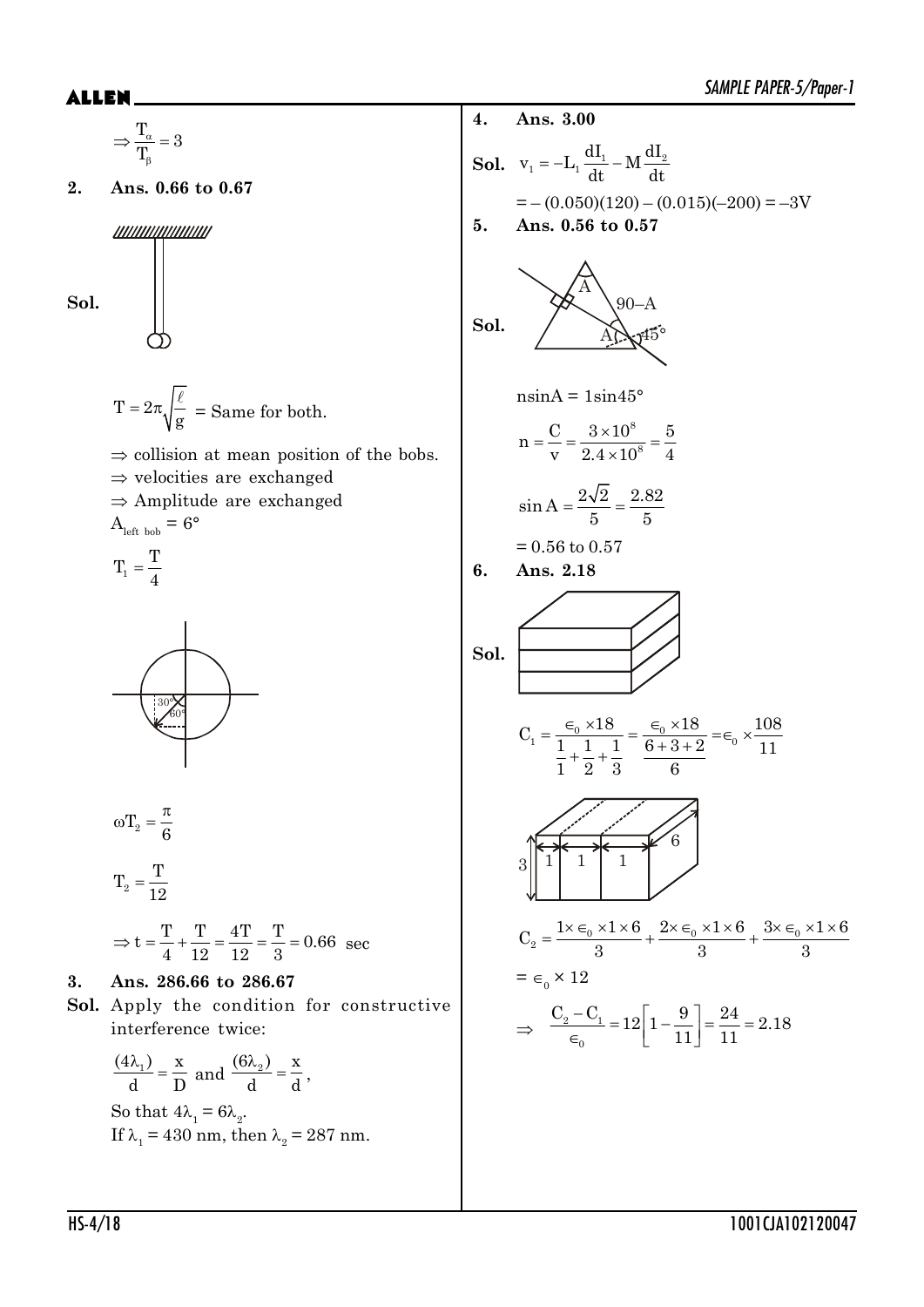### ALLEN\_

$$
\frac{T_u}{T_p} = 3
$$
\n2. Ans. 0.66 to 0.67  
\n
$$
\frac{du}{du} = -\left(0.050/(120) - (0.015)(-200) = -3V
$$
\n3. Ans. 0.56 to 0.57\n  
\n
$$
T = 2\pi \sqrt{\frac{\ell}{g}} = 5
$$
\n
$$
T = 2\pi \sqrt{\frac{\ell}{g}} = 5
$$
\n
$$
\frac{S}{\sqrt{g}} = 5
$$
\n
$$
T = \frac{\sqrt{\frac{\ell}{g}}}{1 + \frac{\ell}{2}}
$$
\n
$$
T = \frac{T}{4}
$$
\n
$$
T_1 = \frac{T}{4}
$$
\n
$$
T_2 = \frac{T}{12}
$$
\n
$$
T_3 = t = \frac{T}{4} + \frac{T}{12} = \frac{4T}{12} = \frac{T}{3} = 0.66
$$
\n
$$
T_4 = 6
$$
\n
$$
T_5 = 6
$$
\n
$$
T_6 = 6
$$
\n
$$
T_7 = \frac{T}{12}
$$
\n
$$
T_8 = \frac{1}{12}
$$
\n
$$
T_9 = \frac{T}{6}
$$
\n
$$
T_1 = \frac{T}{12}
$$
\n
$$
T_2 = \frac{T}{12}
$$
\n
$$
T_3 = 26
$$
\n
$$
T_4 = 6
$$
\n
$$
T_5 = 6
$$
\n
$$
T_6 = 6
$$
\n
$$
T_7 = \frac{T}{12}
$$
\n
$$
T_8 = 6
$$
\n
$$
T_9 = 12
$$
\n
$$
T_1 = 12
$$
\n
$$
T_2 = \frac{T}{12}
$$
\n
$$
T_3 = 26
$$
\n
$$
T_4 = 40
$$
\n
$$
T_5 = 12
$$
\n
$$
T_6 = 12
$$
\n
$$
T_7 = 4
$$
\n
$$
T_8 = 2
$$
\n
$$
T_9 = 4
$$
\n
$$
T_1 = 4
$$
\n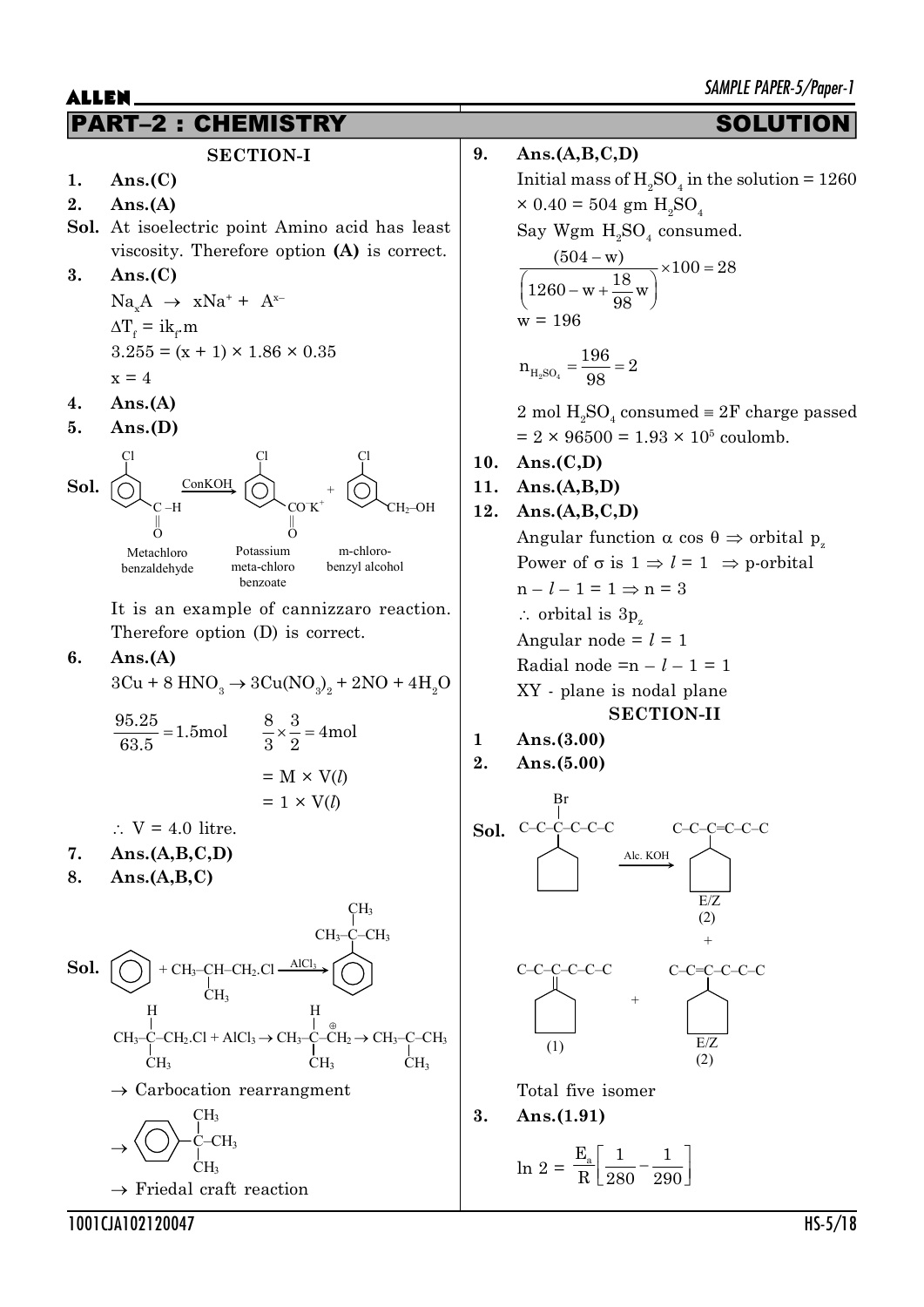## PART–2 : CHEMISTRY SOLUTION

### **SECTION-I**

- **1. Ans.(C)**
- **2. Ans.(A)**
- **Sol.** At isoelectric point Amino acid has least viscosity. Therefore option **(A)** is correct.
- **3. Ans.(C)**

$$
NaxA \rightarrow xNa+ + Ax-
$$
  
\n
$$
\Delta Tf = ikf.m
$$
  
\n
$$
3.255 = (x + 1) \times 1.86 \times 0.35
$$
  
\n
$$
x = 4
$$

- **4. Ans.(A)**
- **5. Ans.(D)**



It is an example of cannizzaro reaction. Therefore option (D) is correct.

**6. Ans.(A)**

$$
3Cu + 8 \text{ HNO}_3 \rightarrow 3Cu(\text{NO}_3)_2 + 2\text{NO} + 4\text{H}_2\text{O}
$$

$$
\frac{95.25}{63.5} = 1.5 \text{mol}
$$
  

$$
\frac{8}{3} \times \frac{3}{2} = 4 \text{mol}
$$
  

$$
= M \times V(l)
$$
  

$$
= 1 \times V(l)
$$

 $\therefore$  V = 4.0 litre.

- **7. Ans.(A,B,C,D)**
- **8. Ans.(A,B,C)**

**Sol.** AlCl<sup>3</sup> + CH3–CH–CH2.Cl CH<sup>3</sup> CH3–C–CH<sup>3</sup> CH<sup>3</sup> CH3–C–CH2.Cl + AlCl<sup>3</sup> o CH3–C–CH<sup>2</sup> o CH3–C–CH<sup>3</sup> CH<sup>3</sup> H CH<sup>3</sup> H CH<sup>3</sup> o Carbocation rearrangment o CH<sup>3</sup> C–CH<sup>3</sup> CH<sup>3</sup> o Friedal craft reaction

### **9. Ans.(A,B,C,D)**

Initial mass of  $H_2SO_4$  in the solution = 1260  $\times 0.40 = 504$  gm  $H_2SO_4$ Say Wgm  $H_2SO_4$  consumed.

$$
\frac{(504 - w)}{\left(1260 - w + \frac{18}{98}w\right)} \times 100 = 28
$$
  
w = 196

$$
n_{\rm H_2SO_4} = \frac{196}{98} = 2
$$

2 mol  $H_2SO_4$  consumed  $\equiv 2F$  charge passed  $= 2 \times 96500 = 1.93 \times 10^5$  coulomb.

**10. Ans.(C,D)**

### **11. Ans.(A,B,D)**

$$
12. \quad \text{Ans.} (A, B, C, D)
$$

Angular function  $\alpha \cos \theta \Rightarrow$  orbital p<sub>z</sub> Power of  $\sigma$  is  $1 \Rightarrow l = 1 \Rightarrow$  p-orbital  $n - l - 1 = 1 \Rightarrow n = 3$  $\therefore$  orbital is 3p<sub>z</sub> Angular node  $= l = 1$ Radial node = $n - l - 1 = 1$ XY - plane is nodal plane **SECTION-II**

**1 Ans.(3.00)**

**2. Ans.(5.00)**



Total five isomer

$$
3. \quad \text{Ans.} (1.91)
$$

$$
\ln 2 = \frac{E_a}{R} \left[ \frac{1}{280} - \frac{1}{290} \right]
$$

1001CJA102120047 HS-5/18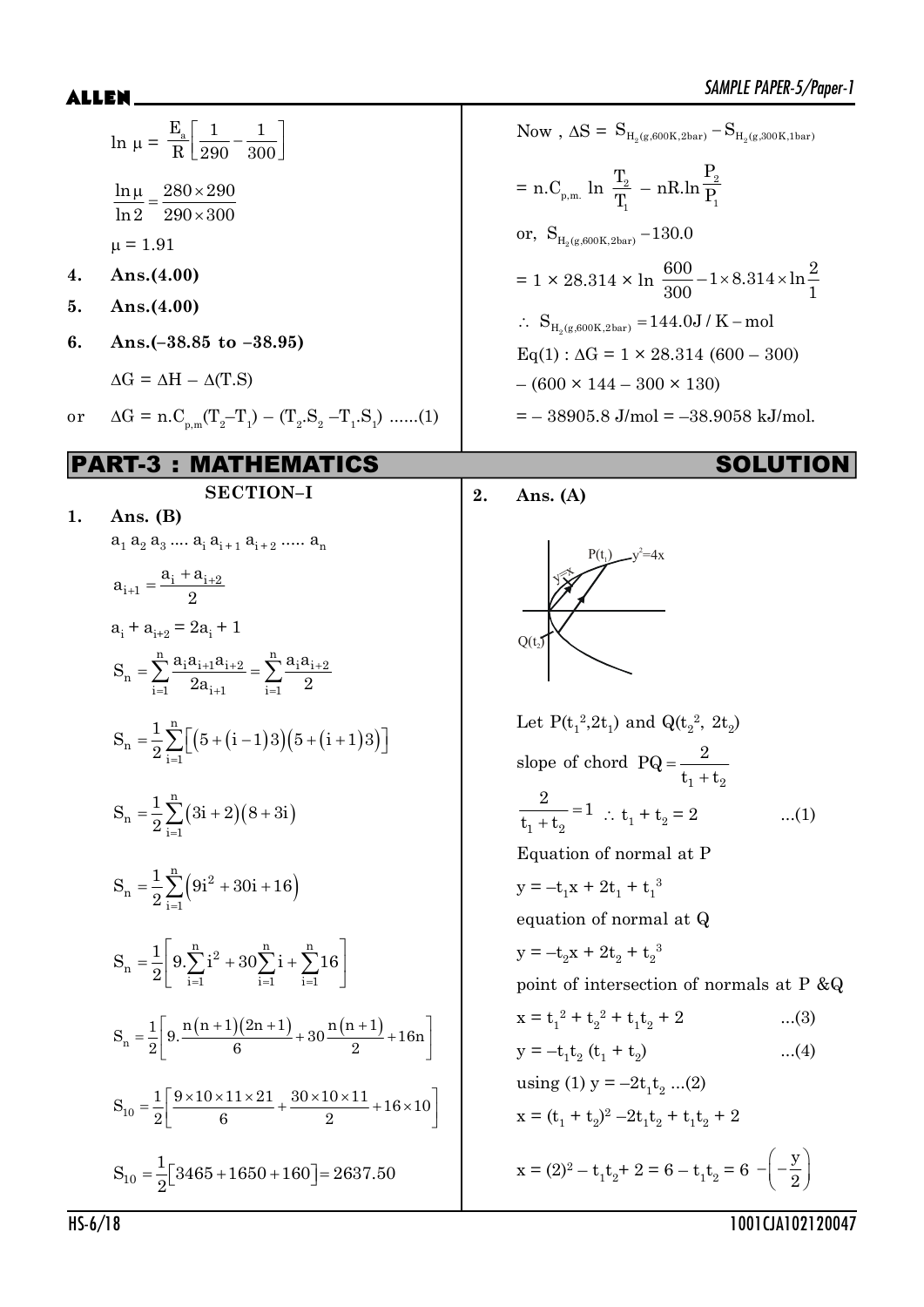### 

|    | $\ln \mu = \frac{E_a}{R} \left[ \frac{1}{290} - \frac{1}{300} \right]$                                                            |    | Now, $\Delta S = S_{H_2(g, 600K, 2bar)} - S_{H_2(g, 300K, 1bar)}$                                      |
|----|-----------------------------------------------------------------------------------------------------------------------------------|----|--------------------------------------------------------------------------------------------------------|
|    | $\frac{\ln \mu}{\mu} = \frac{280 \times 290}{\mu}$<br>$ln 2 290 \times 300$                                                       |    | = n.C <sub>p,m.</sub> ln $\frac{T_2}{T}$ – nR.ln $\frac{P_2}{P_1}$                                     |
|    | $\mu = 1.91$                                                                                                                      |    | or, $S_{H_2(g,600K,2bar)}$ – 130.0                                                                     |
| 4. | Ans. $(4.00)$                                                                                                                     |    | = 1 × 28.314 × ln $\frac{600}{300}$ - 1 × 8.314 × ln $\frac{2}{1}$                                     |
| 5. | Ans. $(4.00)$                                                                                                                     |    | $\therefore S_{H_2(g, 600K, 2bar)} = 144.0J/K - mol$                                                   |
| 6. | Ans. $(-38.85 \text{ to } -38.95)$                                                                                                |    | $Eq(1): \Delta G = 1 \times 28.314 (600 - 300)$                                                        |
|    | $\Delta G = \Delta H - \Delta(T.S)$                                                                                               |    | $-(600 \times 144 - 300 \times 130)$                                                                   |
| or | $\Delta G = n.C_{p.m}(T_2 - T_1) - (T_2.S_2 - T_1.S_1) \dots (1)$                                                                 |    | $=$ $-$ 38905.8 J/mol = $-$ 38.9058 kJ/mol.                                                            |
|    | <b>MATHEMATICS</b><br>RT-3 :                                                                                                      |    | <b>SOLUTION</b>                                                                                        |
| 1. | <b>SECTION-I</b><br>Ans. $(B)$                                                                                                    | 2. | Ans. $(A)$                                                                                             |
|    | $a_1 a_2 a_3 \dots a_i a_{i+1} a_{i+2} \dots a_n$                                                                                 |    |                                                                                                        |
|    | $a_{i+1} = \frac{a_i + a_{i+2}}{2}$                                                                                               |    |                                                                                                        |
|    | $a_i + a_{i+2} = 2a_i + 1$                                                                                                        |    | $Q(t_2)$                                                                                               |
|    | $S_n = \sum_{i=1}^n \frac{a_i a_{i+1} a_{i+2}}{2a_{i+1}} = \sum_{i=1}^n \frac{a_i a_{i+2}}{2}$                                    |    |                                                                                                        |
|    | $S_n = \frac{1}{2} \sum_{i=1}^{n} [(5 + (i-1)3)(5 + (i+1)3)]$                                                                     |    | Let $P(t_1^2, 2t_1)$ and $Q(t_2^2, 2t_2)$<br>slope of chord $PQ = \frac{Z}{t_1 + t_2}$                 |
|    | $S_n = \frac{1}{2} \sum_{i=1}^{n} (3i + 2)(8 + 3i)$                                                                               |    | $\overline{2}$<br>$\frac{2}{t_1+t_2}=1$ : $t_1+t_2=2$<br>(1)                                           |
|    |                                                                                                                                   |    | Equation of normal at P                                                                                |
|    | $S_n = \frac{1}{2} \sum_{i=1}^{n} (9i^2 + 30i + 16)$                                                                              |    | $y = -t_1x + 2t_1 + t_1^3$                                                                             |
|    |                                                                                                                                   |    | equation of normal at Q                                                                                |
|    | $S_n = \frac{1}{2} \left[ 9 \cdot \sum_{i=1}^n i^2 + 30 \sum_{i=1}^n i + \sum_{i=1}^n 16 \right]$                                 |    | $y = -t_2x + 2t_2 + t_2^3$                                                                             |
|    |                                                                                                                                   |    | point of intersection of normals at P &Q                                                               |
|    | $S_n = \frac{1}{2} \left[ 9 \cdot \frac{n(n+1)(2n+1)}{6} + 30 \frac{n(n+1)}{2} + 16n \right]$                                     |    | $x = t_1^2 + t_2^2 + t_1t_2 + 2$<br>$(3)$<br>$y = -t_1t_2$ (t <sub>1</sub> + t <sub>2</sub> )<br>$(4)$ |
|    |                                                                                                                                   |    | using (1) $y = -2t_1t_2$ (2)                                                                           |
|    | $S_{10} = \frac{1}{2} \left[ \frac{9 \times 10 \times 11 \times 21}{6} + \frac{30 \times 10 \times 11}{2} + 16 \times 10 \right]$ |    | $x = (t_1 + t_2)^2 - 2t_1t_2 + t_1t_2 + 2$                                                             |
|    | $S_{10} = \frac{1}{2} [3465 + 1650 + 160] = 2637.50$                                                                              |    | $x = (2)^2 - t_1 t_2 + 2 = 6 - t_1 t_2 = 6 - \left(-\frac{y}{2}\right)$                                |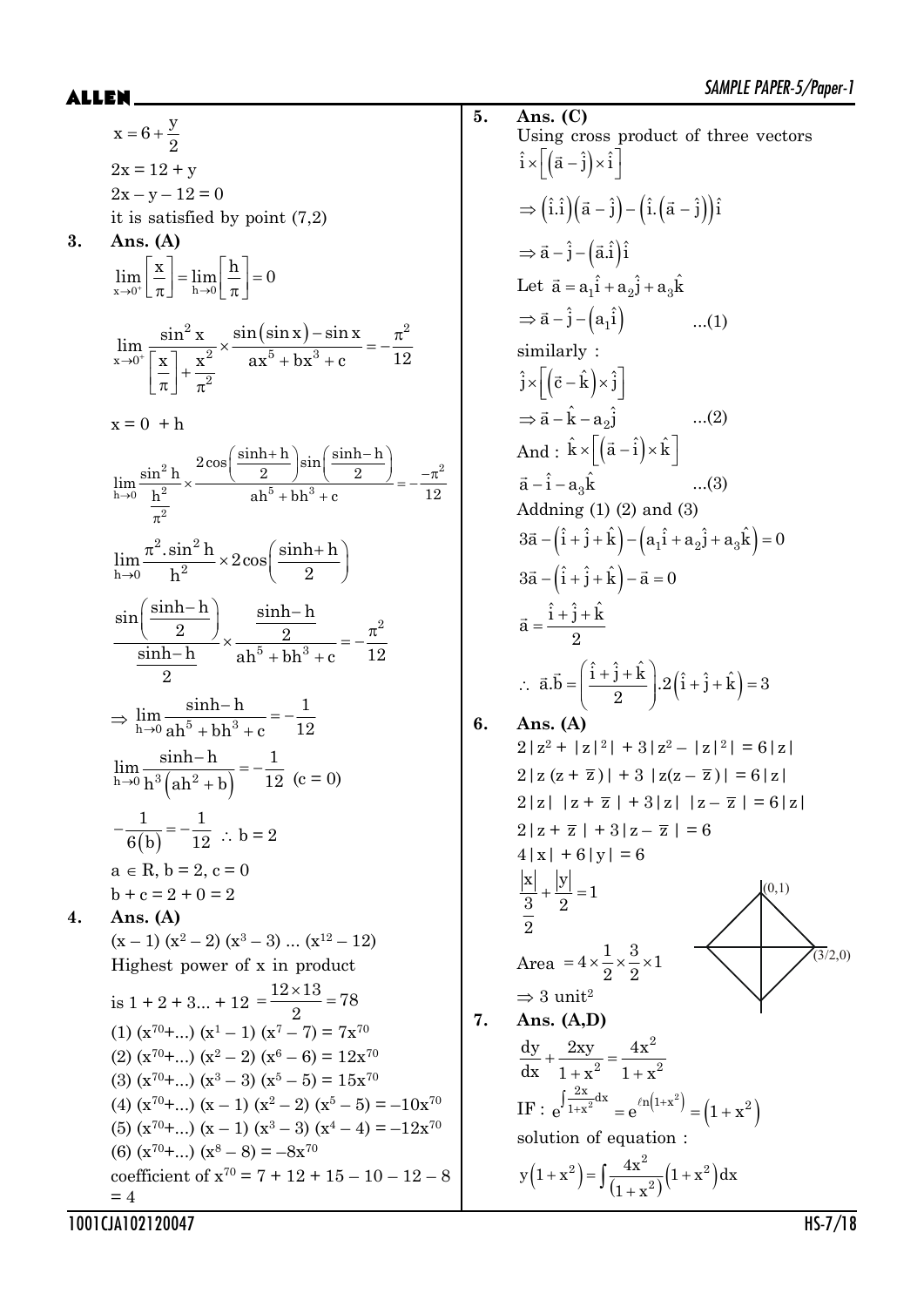|    |                                                                                                                                                                           |    | SAMPLE PAPER-5/Paper-1                                                                                                                       |
|----|---------------------------------------------------------------------------------------------------------------------------------------------------------------------------|----|----------------------------------------------------------------------------------------------------------------------------------------------|
|    |                                                                                                                                                                           | 5. | Ans. (C)                                                                                                                                     |
|    | $x = 6 + \frac{y}{2}$                                                                                                                                                     |    | Using cross product of three vectors                                                                                                         |
|    | $2x = 12 + y$                                                                                                                                                             |    | $\hat{i} \times \left  \left( \vec{a} - \hat{j} \right) \times \hat{i} \right $                                                              |
|    | $2x - y - 12 = 0$                                                                                                                                                         |    | $\Rightarrow (\hat{i}.\hat{i}) (\vec{a} - \hat{j}) - (\hat{i} . (\vec{a} - \hat{j})) \hat{i}$                                                |
|    | it is satisfied by point $(7,2)$                                                                                                                                          |    |                                                                                                                                              |
| 3. | Ans. $(A)$                                                                                                                                                                |    | $\Rightarrow$ $\vec{a} - \hat{j} - (\vec{a}.\hat{i})\hat{i}$                                                                                 |
|    | $\lim_{x\to 0^+}\left \frac{x}{\pi}\right =\lim_{h\to 0}\left \frac{h}{\pi}\right =0$                                                                                     |    | Let $\vec{a} = a_1 \hat{i} + a_2 \hat{j} + a_3 \hat{k}$                                                                                      |
|    |                                                                                                                                                                           |    | $\Rightarrow \vec{a} - \hat{j} - (a_1 \hat{i})$ (1)                                                                                          |
|    | $\lim_{x\to 0^+} \frac{\sin^2 x}{\left \frac{x}{x}\right  + \frac{x^2}{2}} \times \frac{\sin(\sin x) - \sin x}{ax^5 + bx^3 + c} = -\frac{\pi^2}{12}$                      |    | similarly:                                                                                                                                   |
|    |                                                                                                                                                                           |    | $\hat{j} \times \left  \left( \vec{c} - \hat{k} \right) \times \hat{j} \right $                                                              |
|    |                                                                                                                                                                           |    |                                                                                                                                              |
|    | $x = 0 + h$                                                                                                                                                               |    | $\Rightarrow$ $\vec{a} - \hat{k} - a_2 \hat{j}$ (2)                                                                                          |
|    | $\lim_{h\to 0}\frac{\sin^2h}{\underline{h}^2}\times\frac{2\cos\left(\frac{\sinh+h}{2}\right)\sin\left(\frac{\sinh-h}{2}\right)}{\mathrm{ah}^5+bh^3+c}=-\frac{-\pi^2}{12}$ |    | And : $\hat{k} \times \left[ \left( \vec{a} - \hat{i} \right) \times \hat{k} \right]$                                                        |
|    |                                                                                                                                                                           |    | $\vec{a} - \hat{i} - a_3 \hat{k}$ (3)                                                                                                        |
|    |                                                                                                                                                                           |    | Addning $(1)$ $(2)$ and $(3)$                                                                                                                |
|    |                                                                                                                                                                           |    | $3\vec{a} - (\hat{i} + \hat{j} + \hat{k}) - (a_1\hat{i} + a_2\hat{j} + a_3\hat{k}) = 0$                                                      |
|    | $\lim_{h\to 0}\frac{\pi^2.\sin^2h}{h^2}\times 2\cos\left(\frac{\sinh+h}{2}\right)$                                                                                        |    | $3\vec{a} - (\hat{i} + \hat{j} + \hat{k}) - \vec{a} = 0$                                                                                     |
|    |                                                                                                                                                                           |    | $\vec{a} = \frac{\hat{i} + \hat{j} + \hat{k}}{2}$                                                                                            |
|    | $\frac{\sin\left(\frac{\sinh-h}{2}\right)}{\sinh-h}\times\frac{\frac{\sinh-h}{2}}{\sinh^5+bh^3+c}=-\frac{\pi^2}{12}$                                                      |    |                                                                                                                                              |
|    |                                                                                                                                                                           |    |                                                                                                                                              |
|    |                                                                                                                                                                           |    | $\therefore \vec{a} \cdot \vec{b} = \left( \frac{\hat{i} + \hat{j} + \hat{k}}{2} \right) . 2 \left( \hat{i} + \hat{j} + \hat{k} \right) = 3$ |
|    | $\Rightarrow \lim_{h\to 0} \frac{\sinh-h}{ah^5 + bh^3 + c} = -\frac{1}{12}$                                                                                               | 6. | Ans. $(A)$                                                                                                                                   |
|    |                                                                                                                                                                           |    | $2 z^{2}+ z ^{2} +3 z^{2}- z ^{2} =6 z $                                                                                                     |
|    | $\lim_{h\to 0} \frac{\sinh - h}{h^3 (ah^2 + b)} = -\frac{1}{12}$ (c = 0)                                                                                                  |    | $2 z(z + \overline{z})  + 3  z(z - \overline{z})  = 6 z $                                                                                    |
|    |                                                                                                                                                                           |    | $2 z $ $ z + \overline{z}  + 3 z $ $ z - \overline{z}  = 6 z $                                                                               |
|    | $-\frac{1}{6(b)} = -\frac{1}{12}$ : b = 2                                                                                                                                 |    | $2 z + \overline{z}  + 3 z - \overline{z}  = 6$                                                                                              |
|    |                                                                                                                                                                           |    | $4 x  + 6 y  = 6$                                                                                                                            |
|    | $a \in R$ , $b = 2$ , $c = 0$<br>$b + c = 2 + 0 = 2$                                                                                                                      |    | $\frac{ x }{\frac{3}{2}} + \frac{ y }{2} = 1$<br>(0,1)                                                                                       |
| 4. | Ans. $(A)$                                                                                                                                                                |    |                                                                                                                                              |
|    | $(x-1)(x^2-2)(x^3-3)(x^{12}-12)$                                                                                                                                          |    |                                                                                                                                              |
|    | Highest power of x in product                                                                                                                                             |    | (3/2,0)<br>Area = $4 \times \frac{1}{2} \times \frac{3}{2} \times 1$                                                                         |
|    | is $1 + 2 + 3 + 12 = \frac{12 \times 13}{2} = 78$                                                                                                                         |    | $\Rightarrow$ 3 unit <sup>2</sup>                                                                                                            |
|    | (1) $(x^{70}+)(x^1-1)(x^7-7) = 7x^{70}$                                                                                                                                   | 7. | Ans. $(A,D)$                                                                                                                                 |
|    | (2) $(x^{70}+)(x^2-2)(x^6-6)=12x^{70}$                                                                                                                                    |    | $\frac{dy}{dx} + \frac{2xy}{1 + x^2} = \frac{4x^2}{1 + x^2}$                                                                                 |
|    | (3) $(x^{70}+)(x^3-3)(x^5-5) = 15x^{70}$                                                                                                                                  |    |                                                                                                                                              |
|    | (4) $(x^{70}+)(x-1)(x^2-2)(x^5-5) = -10x^{70}$                                                                                                                            |    | IF: $e^{\int \frac{2x}{1+x^2} dx} = e^{\ln(1+x^2)} = (1+x^2)$                                                                                |
|    | (5) $(x^{70}+)(x-1)(x^3-3)(x^4-4) = -12x^{70}$                                                                                                                            |    | solution of equation :                                                                                                                       |
|    | (6) $(x^{70}+)(x^8-8) = -8x^{70}$                                                                                                                                         |    |                                                                                                                                              |
|    | coefficient of $x^{70} = 7 + 12 + 15 - 10 - 12 - 8$<br>$=4$                                                                                                               |    | $y(1+x^2) = \int \frac{4x^2}{(1+x^2)}(1+x^2) dx$                                                                                             |
|    |                                                                                                                                                                           |    |                                                                                                                                              |

| x = -6 + $\frac{y}{2}$ | 5. Ans. (C)       |              |          |
|------------------------|-------------------|--------------|----------|
| $x = 6 + \frac{y}{2}$  | $2x = 12 + y$     | $5x = 6$     | $1x = 6$ |
| $2x = 12 + y$          | $2x = y - 12 = 0$ | $1x = 1 + 3$ |          |
| $3x = 12 + y$          | $2x = 12 + y$     | $3x = 16$    |          |
| $3x = 12 + y$          | $3x = 16$         |              |          |
| $3x = 12 + y$          | $3x = 16$         |              |          |
| $3x = 12 + y$          | $3x = 16$         |              |          |
| $3x = 12 + y$          | $3x = 12$         |              |          |
| $3x = 12 + y$          | $3x = 12$         |              |          |
| $3x = 12 + y$          | $3x = 12$         |              |          |
| $3x = 12 + y$          | $3x = 12$         |              |          |
| $3x = 12 + y$          | $3x = 12$         |              |          |
| $3x = 12 + y$          | $3x = 12$         |              |          |
| $3x = 12 + y$          | $3x = 12$         |              |          |
| $3x = 12 + y$          | $3x = 12$         |              |          |
| $3x = 12 + y$          | $3x = 12$         |              |          |
| $3x = 12 + y$          | $3x =$            |              |          |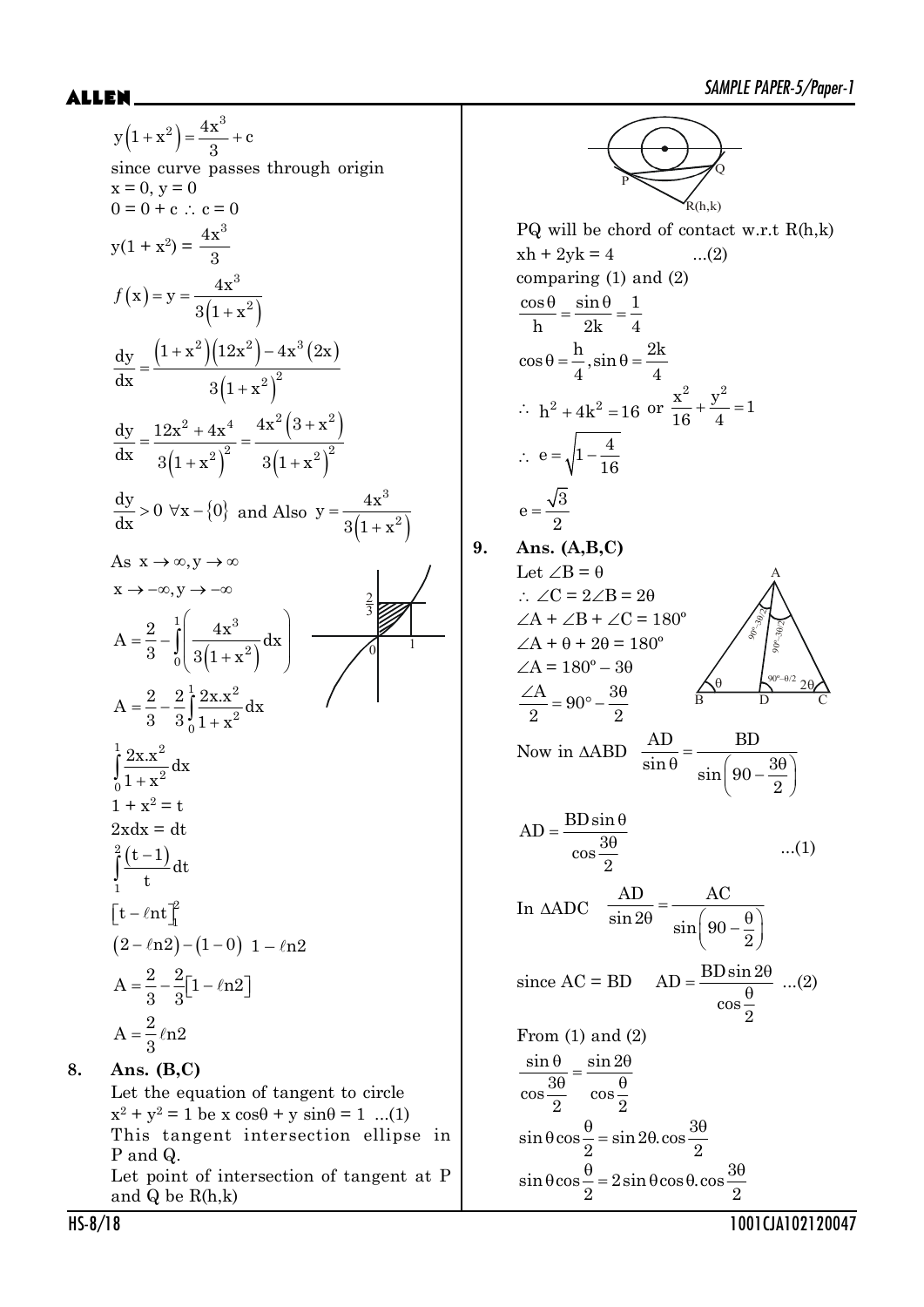$(1+x^2) = \frac{-x^2}{2} +$  $y(1+x^2) = \frac{4x^3}{x^2} + c$ 3 since curve passes through origin  $x = 0, y = 0$  $0 = 0 + c$  :  $c = 0$  $y(1 + x^2) =$  $4x^3$ 3  $(x) =$  $(1 + x^2)$  $=$  $^{+}$ 3  $f(x) = y = \frac{4x^3}{2(1+x^2)}$  $3(1 + x)$  $(1+x^2)(12x^2) - 4x^3(2x)$  $(1 + x^2)$  $+x^2(12x^2) - 4$  $=$  $^{+}$  $2 \left( \frac{2}{12} \right)$   $4 \times 3$  $2\lambda^2$  $\frac{1}{\text{dy}} \left(1+x^2\right) \left(12x^2\right) - 4x^3\left(2x\right)$  $dx$   $3(1+x)$  $(1 + x^2)$  $(3 + x^2)$  $(1 + x^2)$  $=\frac{12x^2+4x^4}{x^2}=\frac{4x^2(3+1)}{x^2}$  $+x^2$ )  $3(1+x)$ 2  $4x^4$   $4x^2(3+x^2)$  $(2)^2$   $9(1+x^2)^2$  $\mathrm{dy}$   $12x^2 + 4x^4$   $4x^2(3+x)$  $\frac{dx}{3(1+x^2)}^2$  3(1+x  $\frac{dy}{dx} > 0 \quad \forall x - \{0\}$  a  $\frac{dy}{dx} > 0 \ \forall x - \{0\} \text{ and Also } y = \frac{4x}{3(1+x^2)}$  $\overline{+}$ 3 2  $y = \frac{4x}{4}$  $3(1 + x)$ As  $x \to \infty, y \to \infty$  $x \rightarrow -\infty, y \rightarrow -\infty$ 3 1  $\overline{0}$  $=\frac{2}{3}-\int_{0}^{1}\left(\frac{4x^{3}}{3(1+x^{2})}dx\right)$ ³  $1 / 3$  $\frac{1}{0}$  3(1+x<sup>2</sup>  $A = \frac{2}{2} - \int \frac{4x^3}{(x^2+4)^3} dx$  $3\frac{J}{0} \cdot 3(1+x)$  $=\frac{2}{3}$  - $\int_{0}^{\frac{2\Lambda}{1}}$  $1 \, \Omega_{\rm v} \, {\rm v}^2$ 2  $\boldsymbol{0}$  $A = \frac{2}{2} - \frac{2}{3} \int \frac{2x x^2}{x^2} dx$ 3  $3^1 + x$  $\int_{0}^{\frac{2\Lambda}{1}}$  $1 \Omega_{\rm w}$   $\rm v^2$ 2  $\boldsymbol{0}$  $\frac{2x.x^2}{a}dx$  $1 + x$  $1 + x^2 = t$  $2xdx = dt$  $\int_{0}^{2} \frac{(t-1)}{t}$  $\frac{2}{r}$  (t-1 1 dt t  $\left[t-\ell nt\right]_1^2$  $t - \ell nt$  $(2-\ell n^2) - (1-0)$  1 –  $\ell n^2$  $A = \frac{2}{3} - \frac{2}{3} [1 - \ln 2]$ 3 3  $A = \frac{2}{3} \ln 2$ 3 **8. Ans. (B,C)**

> Let the equation of tangent to circle  $x^{2} + y^{2} = 1$  be x  $\cos\theta + y \sin\theta = 1$  ...(1) This tangent intersection ellipse in P and Q. Let point of intersection of tangent at P and Q be R(h,k)

P Q .<br>R(h,k) PQ will be chord of contact w.r.t R(h,k)  $xh + 2yk = 4$  ...(2) comparing (1) and (2)  $\frac{\cos \theta}{\theta} = \frac{\sin \theta}{\theta} = \frac{1}{2}$ h 2k 4  $\cos \theta = \frac{h}{i}, \sin \theta = \frac{2k}{i}$  $4 \times 4$  $\therefore$  h<sup>2</sup> + 4k<sup>2</sup> = 16 or  $\frac{A}{16} + \frac{y}{4} = 1$  $\frac{x^2}{10} + \frac{y^2}{10} = 1$ 16 4  $\therefore e = \sqrt{1 - \frac{4}{14}}$ 16  $e = \frac{\sqrt{3}}{2}$ 2 **9. Ans. (A,B,C)** Let  $\angle B = \theta$  $0^{\circ}$ - $\theta$ /2 9e-3e2  $90^{\circ}$ –30/2 A B D C  $\therefore \angle C = 2\angle B = 2\theta$  $\angle A + \angle B + \angle C = 180^\circ$  $\angle A + \theta + 2\theta = 180^\circ$  $\angle A = 180^{\circ} - 30$  $\frac{\angle A}{\Omega} = 90^\circ - \frac{3\theta}{\Omega}$ 2 2 Now in  $\triangle ABD$   $\frac{12}{\sin \theta} = \frac{22}{\sin \left(90 - \frac{3\theta}{2}\right)}$ AD BD  $\sin \theta$   $\sin \left( 90 - \frac{3}{2} \right)$ 2  $AD = \frac{BD \sin \theta}{\cos \frac{3\theta}{2}}$ 2 ...(1) In  $\triangle ADC = \frac{120}{\sin 2\theta} = \frac{120}{\sin \left(90 - \frac{\theta}{2}\right)}$ AD AC  $\sin 2\theta$   $\sin \Big(90$ 2 since  $AC = BD \tAD = \frac{BD \sin 2\theta}{\theta}$ cos 2 ...(2) From (1) and (2)  $\frac{\theta}{3\theta} = \frac{\sin 2\theta}{\theta}$  $\sin \theta$   $\sin 2$  $\cos \frac{3\theta}{\cos \theta}$  cos 2  $2^{\circ}$  2  $\sin \theta \cos \frac{\theta}{\theta} = \sin 2\theta \cdot \cos \frac{3\theta}{\theta}$ 2  $\frac{3}{2}$  2  $\sin \theta \cos \frac{\theta}{\theta} = 2 \sin \theta \cos \theta \cdot \cos \frac{3\theta}{\theta}$ 2  $\overline{\phantom{a}}$  2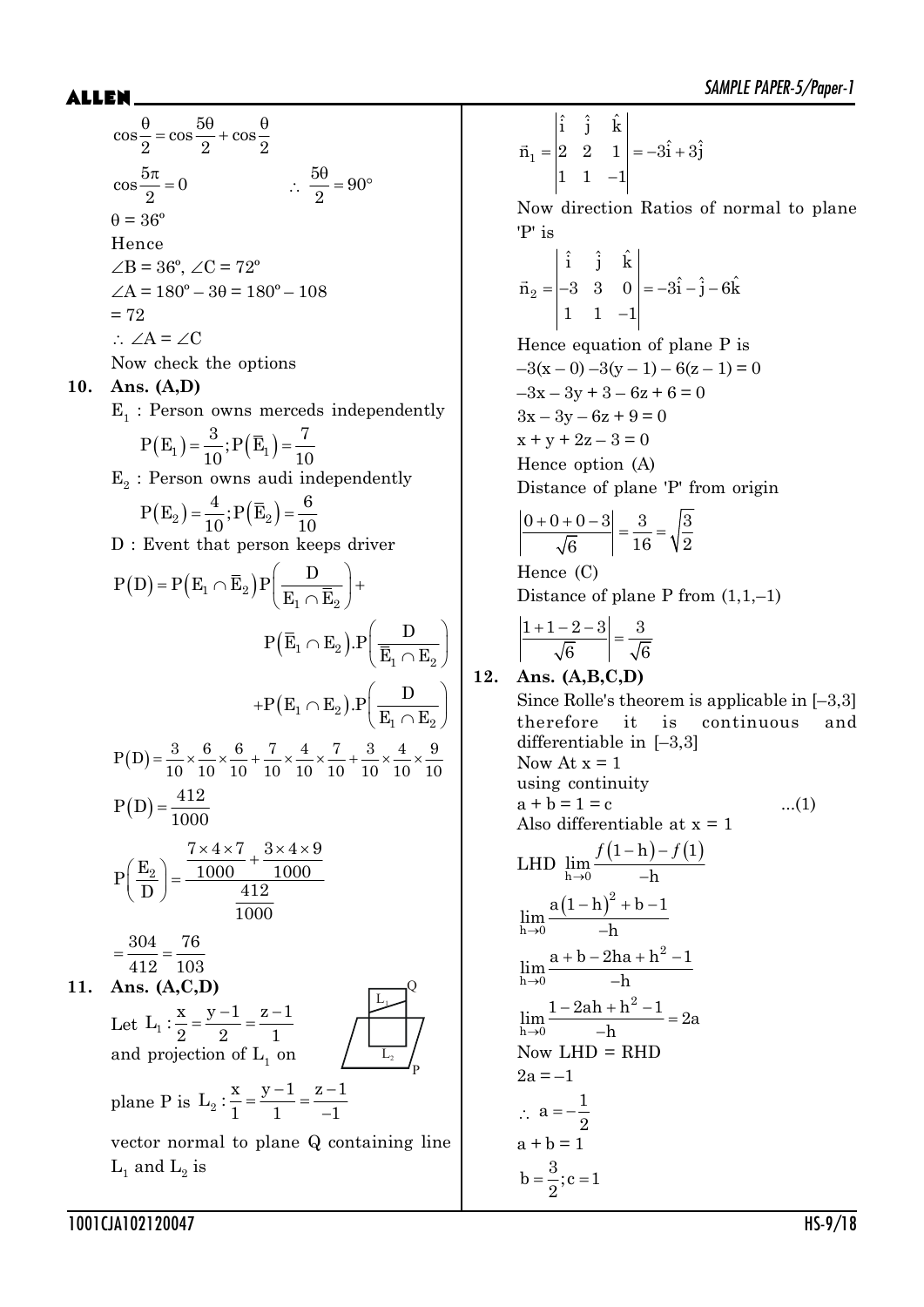$$
\cos\frac{\theta}{2} = \cos\frac{5\theta}{2} + \cos\frac{\theta}{2}
$$
  
\n
$$
\cos\frac{5\pi}{2} = 0 \qquad \therefore \frac{5\theta}{2} = 90^{\circ}
$$
  
\n
$$
\theta = 36^{\circ}
$$
  
\nHence  
\n
$$
\angle B = 36^{\circ}, \angle C = 72^{\circ}
$$
  
\n
$$
\angle A = 180^{\circ} - 3\theta = 180^{\circ} - 108
$$
  
\n
$$
= 72
$$
  
\n
$$
\therefore \angle A = \angle C
$$
  
\nNow check the options

#### **10. Ans. (A,D)**

 $E_1$ : Person owns merceds independently  $P(F_n) = \frac{3}{2} \cdot P(\bar{F}_n) = \frac{7}{2}$ 

$$
P(E_1) = \frac{1}{10}; P(E_1) = \frac{1}{10}
$$
  
Beyngg g

 $E_2$ : Person owns audi independently

$$
P(E_2) = \frac{4}{10}; P(\overline{E}_2) = \frac{6}{10}
$$

D : Event that person keeps driver

$$
P(D) = P(E_1 \cap \overline{E}_2) P\left(\frac{D}{E_1 \cap \overline{E}_2}\right) +
$$
  
\n
$$
P(\overline{E}_1 \cap E_2) . P\left(\frac{D}{\overline{E}_1 \cap E_2}\right)
$$
  
\n
$$
+ P(E_1 \cap E_2) . P\left(\frac{D}{\overline{E}_1 \cap E_2}\right)
$$
  
\n
$$
P(D) = \frac{3}{10} \times \frac{6}{10} \times \frac{6}{10} + \frac{7}{10} \times \frac{4}{10} \times \frac{7}{10} + \frac{3}{10} \times \frac{4}{10} \times \frac{9}{10}
$$
  
\n
$$
P(D) = \frac{412}{1000}
$$
  
\n
$$
P\left(\frac{E_2}{D}\right) = \frac{7 \times 4 \times 7}{1000} + \frac{3 \times 4 \times 9}{1000}
$$
  
\n
$$
= \frac{304}{412} = \frac{76}{103}
$$
  
\n**Ans. (A, C, D)**  
\nLet  $L_1 : \frac{x}{2} = \frac{y - 1}{2} = \frac{z - 1}{1}$   
\nand projection of  $L_1$  on  
\nplane P is  $L_2 : \frac{x}{1} = \frac{y - 1}{1} = \frac{z - 1}{-1}$   
\nvector normal to plane Q containing line  
\n $L_1$  and  $L_2$  is

 $= |2 \t2 \t1| = -3i + 3$  $\overline{a}$  $\vec{n}_1$  $\hat{i}$   $\hat{j}$   $\hat{k}$  $\vec{n}_1 = |2 \quad 2 \quad 1| = -3\hat{i} + 3\hat{j}$ 11 1

Now direction Ratios of normal to plane 'P' is

$$
\vec{n}_2 = \begin{vmatrix} \hat{i} & \hat{j} & \hat{k} \\ -3 & 3 & 0 \\ 1 & 1 & -1 \end{vmatrix} = -3\hat{i} - \hat{j} - 6\hat{k}
$$

Hence equation of plane P is  $-3(x-0) -3(y-1) - 6(z-1) = 0$  $-3x - 3y + 3 - 6z + 6 = 0$  $3x - 3y - 6z + 9 = 0$  $x + y + 2z - 3 = 0$ Hence option (A) Distance of plane 'P' from origin

$$
\left| \frac{0+0+0-3}{\sqrt{6}} \right| = \frac{3}{16} = \sqrt{\frac{3}{2}}
$$

Hence (C) Distance of plane P from  $(1,1,-1)$ 

$$
\left|\frac{1+1-2-3}{\sqrt{6}}\right| = \frac{3}{\sqrt{6}}
$$

#### **12. Ans. (A,B,C,D)** Since Rolle's theorem is applicable in [–3,3] therefore it is continuous and differentiable in [–3,3] Now At  $x = 1$ using continuity  $a + b = 1 = c$  ...(1) Also differentiable at  $x = 1$ LHD  $\lim_{h\to 0} \frac{f(1-h)-f(1)}{-h}$  $-h$ ) $h \rightarrow 0$  –  $f(1-h) - f(1)$ lim h  $(1-h)$  $\rightarrow$  $(-h)^{2} + b \overline{a}$ 2  $h\rightarrow 0$  $a(1-h)^2 + b - 1$ lim h  $\rightarrow$  $+ b - 2ha + h^{2} - 1$  $\overline{a}$ 2  $\lim_{h\to 0}\frac{a+b-2ha+h^2-1}{-h}$ h  $\rightarrow$  $\frac{-2ah + h^2 - 1}{h}$  $\overline{a}$ 2  $\lim_{h\to 0} \frac{1-2ah+h^2-1}{-h} = 2a$ h Now  $LHD = RHD$  $2a = -1$  $\therefore$  a =  $-\frac{1}{2}$ 2  $a + b = 1$  $b = \frac{3}{2}$ ; c = 1 2

1001CJA102120047 HS-9/18

**11.**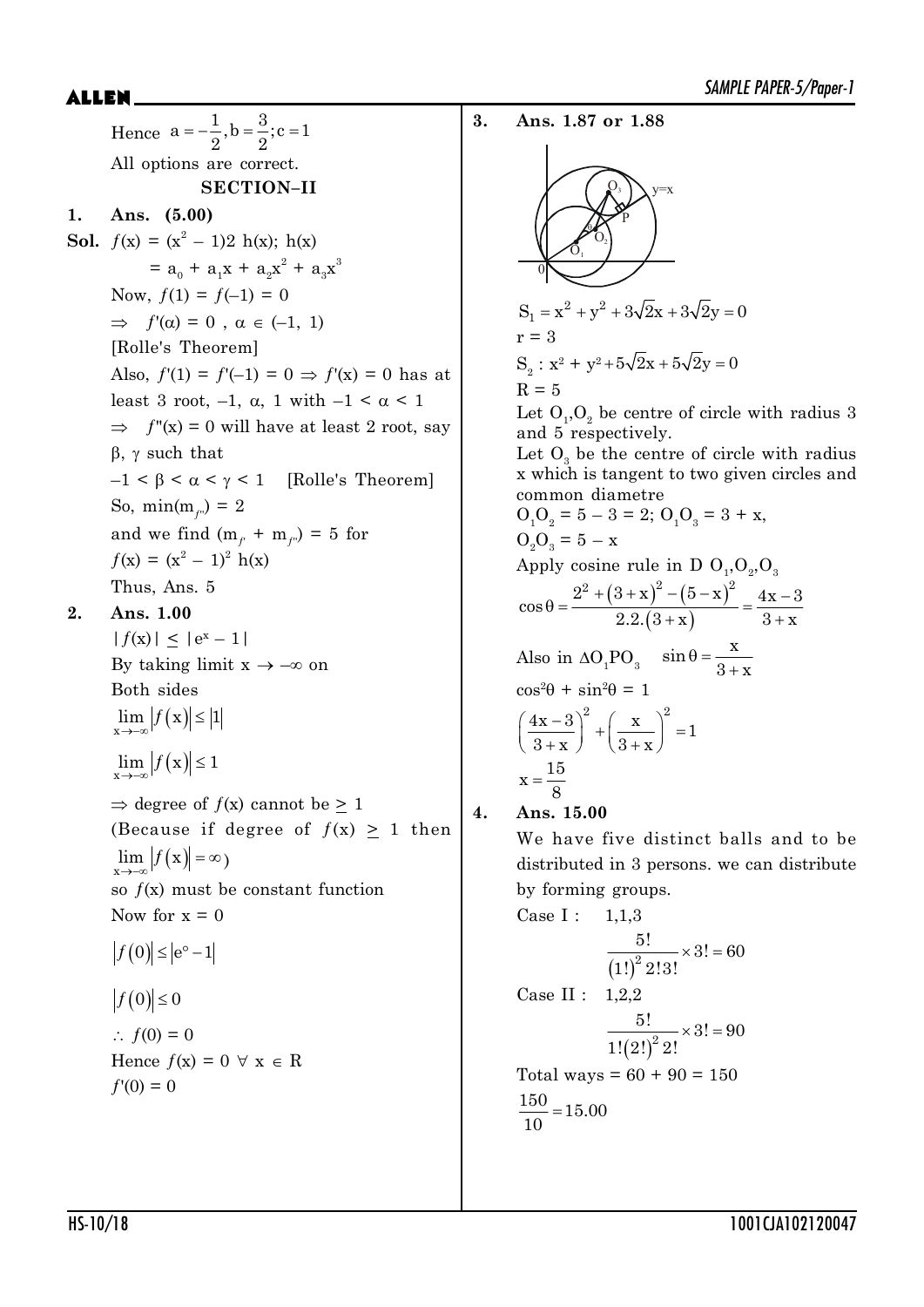SAMPLE PAPER-5/Paper-1 \$//(1 Hence  $a = -\frac{1}{2}$ ,  $b = \frac{3}{2}$ ;  $c = 1$  $2^{\degree}$  2 All options are correct. **SECTION–II 1. Ans. (5.00) Sol.**  $f(x) = (x^2 - 1)2 h(x)$ ;  $h(x)$  $=$  a<sub>0</sub> + a<sub>1</sub>x + a<sub>2</sub>x<sup>2</sup> + a<sub>3</sub>x<sup>3</sup> Now,  $f(1) = f(-1) = 0$  $\Rightarrow f'(\alpha) = 0$ ,  $\alpha \in (-1, 1)$ [Rolle's Theorem] Also,  $f'(1) = f'(-1) = 0 \Rightarrow f'(x) = 0$  has at least 3 root,  $-1$ ,  $\alpha$ , 1 with  $-1 < \alpha < 1$  $\Rightarrow$  f''(x) = 0 will have at least 2 root, say  $\beta$ ,  $\gamma$  such that  $-1 < \beta < \alpha < \gamma < 1$  [Rolle's Theorem] So,  $min(m_{f} = 2)$ and we find  $(m_{\eta} + m_{\eta}) = 5$  for  $f(x) = (x^2 - 1)^2 h(x)$ Thus, Ans. 5 **2. Ans. 1.00**  $|f(x)| \leq |e^x - 1|$ By taking limit  $x \rightarrow -\infty$  on Both sides  $\lim_{x\to-\infty}$   $|f(x)| \leq |1|$  $\lim_{x\to-\infty} |f(x)| \leq 1$  $\Rightarrow$  degree of  $f(x)$  cannot be > 1 (Because if degree of  $f(x) \ge 1$  then  $\lim_{x\to-\infty}$   $|f(x)| = \infty$ ) so  $f(x)$  must be constant function Now for  $x = 0$  $|f(0)| \le |e^{\circ} - 1|$  $|f(0)| \leq 0$  $\therefore f(0) = 0$ Hence  $f(x) = 0 \forall x \in R$  $f'(0) = 0$ 

**3. Ans. 1.87 or 1.88**  $\overline{O}_3$  $\widehat{\mathrm{O}}_{1}$  $\rm \tilde O_2$ P  $\theta$ y=x  $\boldsymbol{0}$  $S_1 = x^2 + y^2 + 3\sqrt{2}x + 3\sqrt{2}y = 0$  $r = 3$  $S_2$ :  $x^2 + y^2 + 5\sqrt{2}x + 5\sqrt{2}y = 0$  $R = 5$ Let  $O_1$ ,  $O_2$  be centre of circle with radius 3 and 5 respectively. Let  $O_3$  be the centre of circle with radius x which is tangent to two given circles and common diametre  $O_1O_2 = 5 - 3 = 2$ ;  $O_1O_3 = 3 + x$ ,  $O_2O_3 = 5 - x$ Apply cosine rule in D  $O_1,O_2,O_3$  $(3+x)^{2}-(5-x)$  $(3 + x)$  $\theta = \frac{2^2 + (3 + x)^2 - (5 - x)^2}{2} = \frac{4x - x}{2}$  $+x$ )  $3+y$  $\cos \theta = \frac{2^2 + (3 + x)^2 - (5 - x)^2}{2(3 - x)(2 - x)} = \frac{4x - 3}{3}$  $2.2.(3+x)$   $3+x$ Also in  $\Delta O_1PO_3$   $\sin \theta = \frac{A}{3+1}$  $\sin \theta = \frac{\mathbf{x}}{2}$  $3 + x$  $\cos^2\theta + \sin^2\theta = 1$  $\left(\frac{4x-3}{3+x}\right)^2 + \left(\frac{x}{3+x}\right)^2 = 1$  $\left(\frac{4x-3}{2}\right)^2 + \left(\frac{x}{2}\right)^2 = 1$  $3+x$   $3+x$  $x=\frac{15}{6}$ 8 **4. Ans. 15.00** We have five distinct balls and to be distributed in 3 persons. we can distribute by forming groups. Case I:  $1.1.3$  $(1!)^2 2$  $\frac{5!}{2,0!} \times 3! = 60$  $(1!)^2 2!3!$ Case II : 1,2,2  $\left( 2! \right)^2$  2  $\frac{5!}{(20-1)} \times 3! = 90$  $1!(2!)^2 2!$ Total ways =  $60 + 90 = 150$